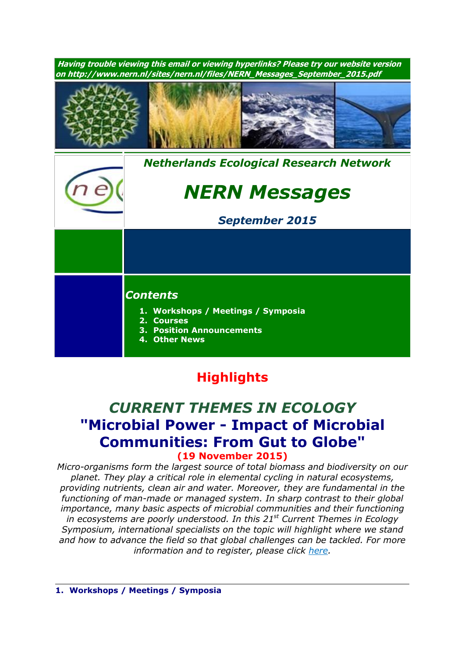

# **Highlights**

## *CURRENT THEMES IN ECOLOGY* **"Microbial Power - Impact of Microbial Communities: From Gut to Globe" (19 November 2015)**

*Micro-organisms form the largest source of total biomass and biodiversity on our planet. They play a critical role in elemental cycling in natural ecosystems, providing nutrients, clean air and water. Moreover, they are fundamental in the functioning of man-made or managed system. In sharp contrast to their global importance, many basic aspects of microbial communities and their functioning in ecosystems are poorly understood. In this 21 st Current Themes in Ecology Symposium, international specialists on the topic will highlight where we stand and how to advance the field so that global challenges can be tackled. For more information and to register, please click [here.](http://nern.nl/CT2015)*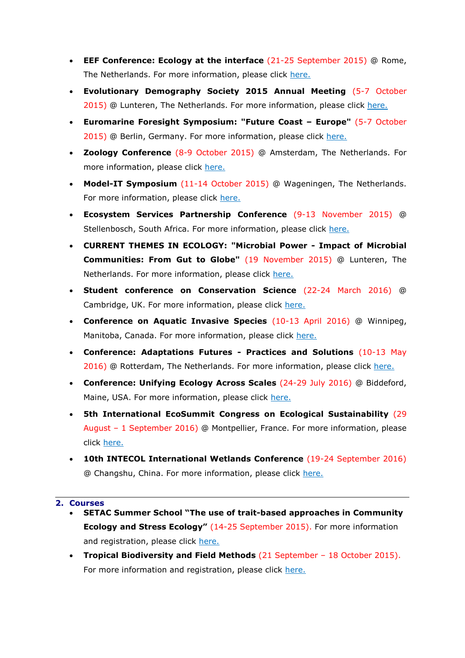- **EEF Conference: Ecology at the interface** (21-25 September 2015) @ Rome, The Netherlands. For more information, please click [here.](http://www.ecologyatinterface.eu/)
- **Evolutionary Demography Society 2015 Annual Meeting** (5-7 October 2015) @ Lunteren, The Netherlands. For more information, please click [here.](http://www.aanmelder.nl/eds2015/subscribe)
- **Euromarine Foresight Symposium: "Future Coast – Europe"** (5-7 October 2015) @ Berlin, Germany. For more information, please click [here.](http://www.io-warnemuende.de/future-coast-home.html)
- **Zoology Conference** (8-9 October 2015) @ Amsterdam, The Netherlands. For more information, please click [here.](http://www.zoology2015.nl/)
- **Model-IT Symposium** (11-14 October 2015) @ Wageningen, The Netherlands. For more information, please click [here.](http://www.model-it.info/)
- **Ecosystem Services Partnership Conference** (9-13 November 2015) @ Stellenbosch, South Africa. For more information, please click [here.](http://www.espconference.org/espconference2015#.VONOuC5SU5g)
- **CURRENT THEMES IN ECOLOGY: "Microbial Power - Impact of Microbial Communities: From Gut to Globe"** (19 November 2015) @ Lunteren, The Netherlands. For more information, please click [here.](http://nern.nl/CT2015)
- **Student conference on Conservation Science** (22-24 March 2016) @ Cambridge, UK. For more information, please click [here.](http://sccs-cam.org/index.htm)
- **Conference on Aquatic Invasive Species** (10-13 April 2016) @ Winnipeg, Manitoba, Canada. For more information, please click [here.](http://www.icais.org/)
- **Conference: Adaptations Futures - Practices and Solutions** (10-13 May 2016) @ Rotterdam, The Netherlands. For more information, please click [here.](http://www.adaptationfutures2016.org/)
- **Conference: Unifying Ecology Across Scales** (24-29 July 2016) @ Biddeford, Maine, USA. For more information, please click [here.](https://www.grc.org/programs.aspx?id=13261)
- **5th International EcoSummit Congress on Ecological Sustainability** (29 August – 1 September 2016) @ Montpellier, France. For more information, please click [here.](http://www.ecosummit2016.org/)
- **10th INTECOL International Wetlands Conference** (19-24 September 2016) @ Changshu, China. For more information, please click [here.](http://www.intecol-10iwc.com/EN/Index.aspx)

#### **2. Courses**

- **SETAC Summer School "The use of trait-based approaches in Community Ecology and Stress Ecology"** (14-25 September 2015). For more information and registration, please click [here.](http://nern.nl/sites/nern.nl/files/SETAC_course_2015.pdf)
- **Tropical Biodiversity and Field Methods** (21 September 18 October 2015). For more information and registration, please click [here.](https://science.naturalis.nl/en/education/master-students/master-courses/#statia)